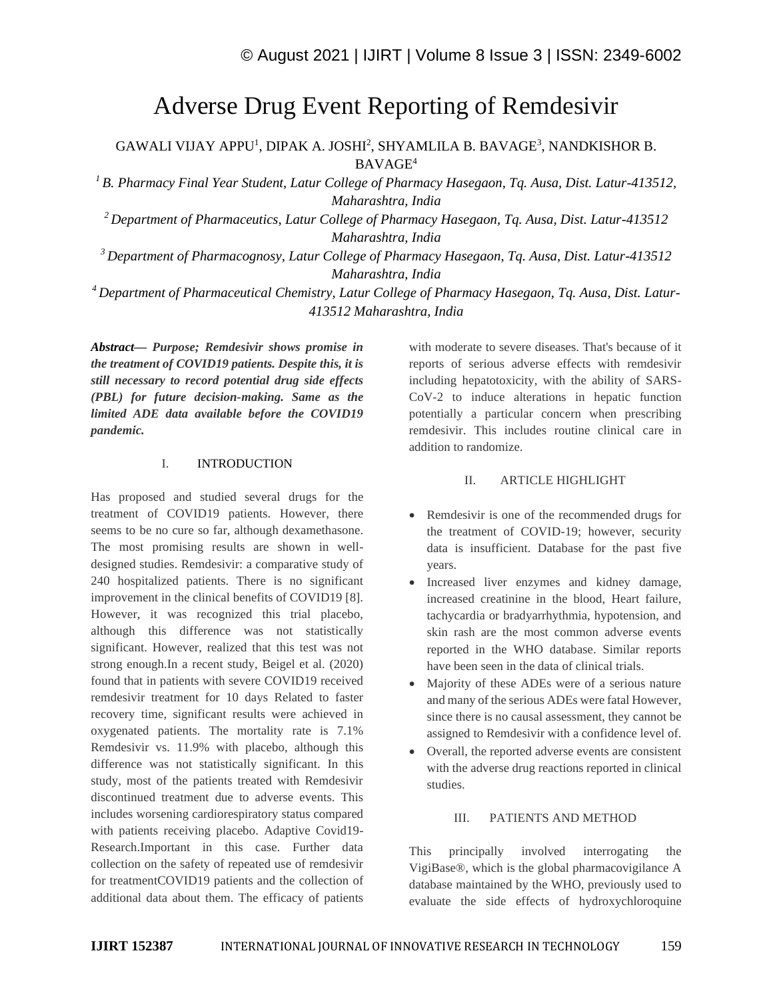# Adverse Drug Event Reporting of Remdesivir

GAWALI VIJAY APPU<sup>1</sup>, DIPAK A. JOSHI<sup>2</sup>, SHYAMLILA B. BAVAGE<sup>3</sup>, NANDKISHOR B. BAVAGE<sup>4</sup>

*<sup>1</sup>B. Pharmacy Final Year Student, Latur College of Pharmacy Hasegaon, Tq. Ausa, Dist. Latur-413512, Maharashtra, India*

*<sup>2</sup>Department of Pharmaceutics, Latur College of Pharmacy Hasegaon, Tq. Ausa, Dist. Latur-413512 Maharashtra, India*

*<sup>3</sup>Department of Pharmacognosy, Latur College of Pharmacy Hasegaon, Tq. Ausa, Dist. Latur-413512 Maharashtra, India*

*<sup>4</sup>Department of Pharmaceutical Chemistry, Latur College of Pharmacy Hasegaon, Tq. Ausa, Dist. Latur-413512 Maharashtra, India*

*Abstract— Purpose; Remdesivir shows promise in the treatment of COVID19 patients. Despite this, it is still necessary to record potential drug side effects (PBL) for future decision-making. Same as the limited ADE data available before the COVID19 pandemic.*

## I. INTRODUCTION

Has proposed and studied several drugs for the treatment of COVID19 patients. However, there seems to be no cure so far, although dexamethasone. The most promising results are shown in welldesigned studies. Remdesivir: a comparative study of 240 hospitalized patients. There is no significant improvement in the clinical benefits of COVID19 [8]. However, it was recognized this trial placebo, although this difference was not statistically significant. However, realized that this test was not strong enough.In a recent study, Beigel et al. (2020) found that in patients with severe COVID19 received remdesivir treatment for 10 days Related to faster recovery time, significant results were achieved in oxygenated patients. The mortality rate is 7.1% Remdesivir vs. 11.9% with placebo, although this difference was not statistically significant. In this study, most of the patients treated with Remdesivir discontinued treatment due to adverse events. This includes worsening cardiorespiratory status compared with patients receiving placebo. Adaptive Covid19- Research.Important in this case. Further data collection on the safety of repeated use of remdesivir for treatmentCOVID19 patients and the collection of additional data about them. The efficacy of patients with moderate to severe diseases. That's because of it reports of serious adverse effects with remdesivir including hepatotoxicity, with the ability of SARS-CoV-2 to induce alterations in hepatic function potentially a particular concern when prescribing remdesivir. This includes routine clinical care in addition to randomize.

## II. ARTICLE HIGHLIGHT

- Remdesivir is one of the recommended drugs for the treatment of COVID-19; however, security data is insufficient. Database for the past five years.
- Increased liver enzymes and kidney damage, increased creatinine in the blood, Heart failure, tachycardia or bradyarrhythmia, hypotension, and skin rash are the most common adverse events reported in the WHO database. Similar reports have been seen in the data of clinical trials.
- Majority of these ADEs were of a serious nature and many of the serious ADEs were fatal However, since there is no causal assessment, they cannot be assigned to Remdesivir with a confidence level of.
- Overall, the reported adverse events are consistent with the adverse drug reactions reported in clinical studies.

# III. PATIENTS AND METHOD

This principally involved interrogating the VigiBase®, which is the global pharmacovigilance A database maintained by the WHO, previously used to evaluate the side effects of hydroxychloroquine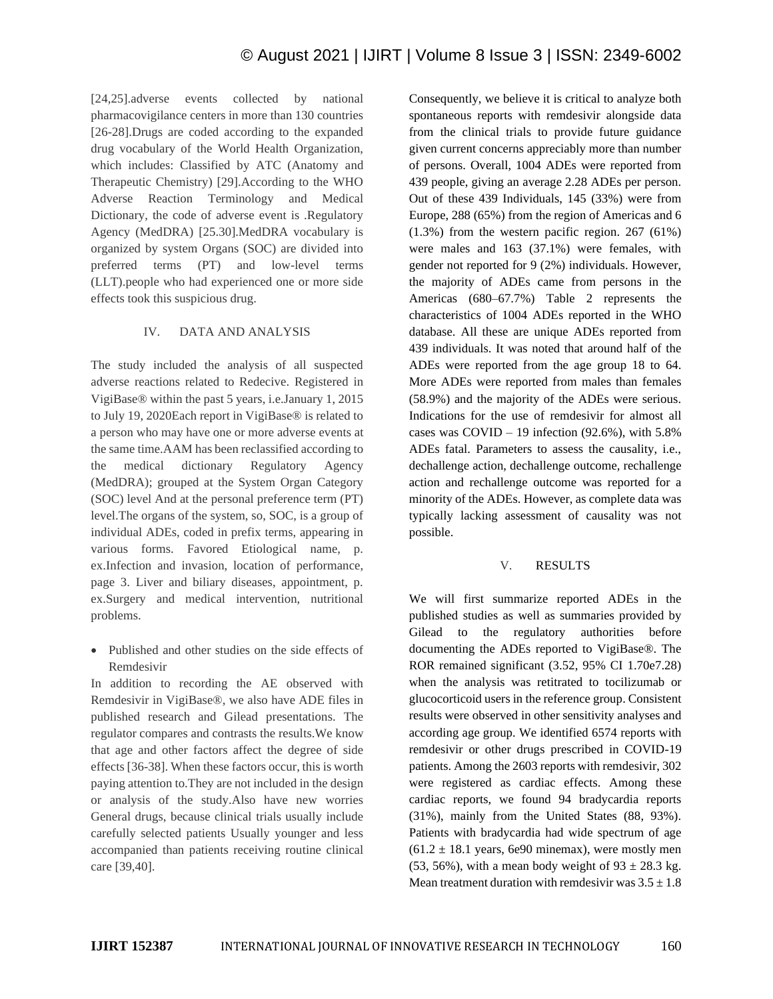[24,25].adverse events collected by national pharmacovigilance centers in more than 130 countries [26-28].Drugs are coded according to the expanded drug vocabulary of the World Health Organization, which includes: Classified by ATC (Anatomy and Therapeutic Chemistry) [29].According to the WHO Adverse Reaction Terminology and Medical Dictionary, the code of adverse event is .Regulatory Agency (MedDRA) [25.30].MedDRA vocabulary is organized by system Organs (SOC) are divided into preferred terms (PT) and low-level terms (LLT).people who had experienced one or more side effects took this suspicious drug.

# IV. DATA AND ANALYSIS

The study included the analysis of all suspected adverse reactions related to Redecive. Registered in VigiBase® within the past 5 years, i.e.January 1, 2015 to July 19, 2020Each report in VigiBase® is related to a person who may have one or more adverse events at the same time.AAM has been reclassified according to the medical dictionary Regulatory Agency (MedDRA); grouped at the System Organ Category (SOC) level And at the personal preference term (PT) level.The organs of the system, so, SOC, is a group of individual ADEs, coded in prefix terms, appearing in various forms. Favored Etiological name, p. ex.Infection and invasion, location of performance, page 3. Liver and biliary diseases, appointment, p. ex.Surgery and medical intervention, nutritional problems.

• Published and other studies on the side effects of Remdesivir

In addition to recording the AE observed with Remdesivir in VigiBase®, we also have ADE files in published research and Gilead presentations. The regulator compares and contrasts the results.We know that age and other factors affect the degree of side effects [36-38]. When these factors occur, this is worth paying attention to.They are not included in the design or analysis of the study.Also have new worries General drugs, because clinical trials usually include carefully selected patients Usually younger and less accompanied than patients receiving routine clinical care [39,40].

Consequently, we believe it is critical to analyze both spontaneous reports with remdesivir alongside data from the clinical trials to provide future guidance given current concerns appreciably more than number of persons. Overall, 1004 ADEs were reported from 439 people, giving an average 2.28 ADEs per person. Out of these 439 Individuals, 145 (33%) were from Europe, 288 (65%) from the region of Americas and 6 (1.3%) from the western pacific region. 267 (61%) were males and 163 (37.1%) were females, with gender not reported for 9 (2%) individuals. However, the majority of ADEs came from persons in the Americas (680–67.7%) Table 2 represents the characteristics of 1004 ADEs reported in the WHO database. All these are unique ADEs reported from 439 individuals. It was noted that around half of the ADEs were reported from the age group 18 to 64. More ADEs were reported from males than females (58.9%) and the majority of the ADEs were serious. Indications for the use of remdesivir for almost all cases was  $COVID - 19$  infection (92.6%), with 5.8% ADEs fatal. Parameters to assess the causality, i.e., dechallenge action, dechallenge outcome, rechallenge action and rechallenge outcome was reported for a minority of the ADEs. However, as complete data was typically lacking assessment of causality was not possible.

# V. RESULTS

We will first summarize reported ADEs in the published studies as well as summaries provided by Gilead to the regulatory authorities before documenting the ADEs reported to VigiBase®. The ROR remained significant (3.52, 95% CI 1.70e7.28) when the analysis was retitrated to tocilizumab or glucocorticoid users in the reference group. Consistent results were observed in other sensitivity analyses and according age group. We identified 6574 reports with remdesivir or other drugs prescribed in COVID-19 patients. Among the 2603 reports with remdesivir, 302 were registered as cardiac effects. Among these cardiac reports, we found 94 bradycardia reports (31%), mainly from the United States (88, 93%). Patients with bradycardia had wide spectrum of age  $(61.2 \pm 18.1$  years, 6e90 minemax), were mostly men (53, 56%), with a mean body weight of  $93 \pm 28.3$  kg. Mean treatment duration with remdesivir was  $3.5 \pm 1.8$